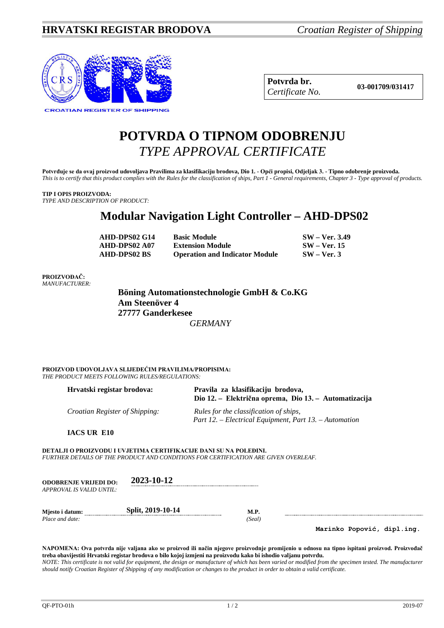

| Potvrda br.     |
|-----------------|
| Certificate No. |

**Potvrda br. 03-001709/031417** *Certificate No.*

## **POTVRDA O TIPNOM ODOBRENJU** *TYPE APPROVAL CERTIFICATE*

**Potvrđuje se da ovaj proizvod udovoljava Pravilima za klasifikaciju brodova, Dio 1. - Opći propisi, Odjeljak 3. - Tipno odobrenje proizvoda.** *This is to certify that this product complies with the Rules for the classification of ships, Part 1 - General requirements, Chapter 3 - Type approval of products.*

## **TIP I OPIS PROIZVODA:**

*TYPE AND DESCRIPTION OF PRODUCT:*

## **Modular Navigation Light Controller – AHD-DPS02**

| AHD-DPS02 G14       | <b>Basic Module</b>                   | $SW - Ver. 3.49$ |
|---------------------|---------------------------------------|------------------|
| AHD-DPS02 A07       | <b>Extension Module</b>               | $SW - Ver. 15$   |
| <b>AHD-DPS02 BS</b> | <b>Operation and Indicator Module</b> | $SW - Ver.3$     |

## **PROIZVOĐAČ:** *MANUFACTURER:*

**Böning Automationstechnologie GmbH & Co.KG Am Steenöver 4 27777 Ganderkesee**  *GERMANY*

**PROIZVOD UDOVOLJAVA SLIJEDEĆIM PRAVILIMA/PROPISIMA:** *THE PRODUCT MEETS FOLLOWING RULES/REGULATIONS:*

| Hrvatski registar brodova:            | Pravila za klasifikaciju brodova,<br>Dio 12. – Električna oprema, Dio 13. – Automatizacija       |
|---------------------------------------|--------------------------------------------------------------------------------------------------|
| <i>Croatian Register of Shipping:</i> | Rules for the classification of ships,<br>Part 12. – Electrical Equipment, Part 13. – Automation |

**IACS UR E10**

**DETALJI O PROIZVODU I UVJETIMA CERTIFIKACIJE DANI SU NA POLEĐINI.** *FURTHER DETAILS OF THE PRODUCT AND CONDITIONS FOR CERTIFICATION ARE GIVEN OVERLEAF.*

| <b>ODOBRENJE VRLJEDI DO:</b><br>APPROVAL IS VALID UNTIL: | 2023-10-12        |      |
|----------------------------------------------------------|-------------------|------|
| Miesto i datum:                                          | Split, 2019-10-14 | M.P. |

*Place and date: (Seal)*

**Marinko Popović, dipl.ing.**

**NAPOMENA: Ova potvrda nije valjana ako se proizvod ili način njegove proizvodnje promijenio u odnosu na tipno ispitani proizvod. Proizvođač treba obavijestiti Hrvatski registar brodova o bilo kojoj izmjeni na proizvodu kako bi ishodio valjanu potvrdu.** *NOTE: This certificate is not valid for equipment, the design or manufacture of which has been varied or modified from the specimen tested. The manufacturer should notify Croatian Register of Shipping of any modification or changes to the product in order to obtain a valid certificate.*